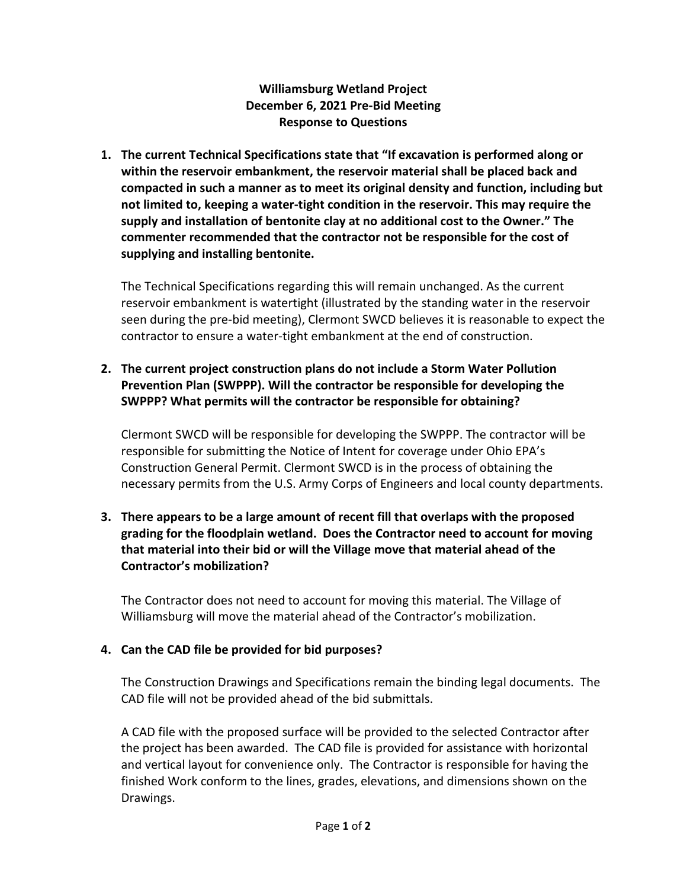**Williamsburg Wetland Project December 6, 2021 Pre-Bid Meeting Response to Questions**

**1. The current Technical Specifications state that "If excavation is performed along or within the reservoir embankment, the reservoir material shall be placed back and compacted in such a manner as to meet its original density and function, including but not limited to, keeping a water-tight condition in the reservoir. This may require the supply and installation of bentonite clay at no additional cost to the Owner." The commenter recommended that the contractor not be responsible for the cost of supplying and installing bentonite.**

The Technical Specifications regarding this will remain unchanged. As the current reservoir embankment is watertight (illustrated by the standing water in the reservoir seen during the pre-bid meeting), Clermont SWCD believes it is reasonable to expect the contractor to ensure a water-tight embankment at the end of construction.

## **2. The current project construction plans do not include a Storm Water Pollution Prevention Plan (SWPPP). Will the contractor be responsible for developing the SWPPP? What permits will the contractor be responsible for obtaining?**

Clermont SWCD will be responsible for developing the SWPPP. The contractor will be responsible for submitting the Notice of Intent for coverage under Ohio EPA's Construction General Permit. Clermont SWCD is in the process of obtaining the necessary permits from the U.S. Army Corps of Engineers and local county departments.

## **3. There appears to be a large amount of recent fill that overlaps with the proposed grading for the floodplain wetland. Does the Contractor need to account for moving that material into their bid or will the Village move that material ahead of the Contractor's mobilization?**

The Contractor does not need to account for moving this material. The Village of Williamsburg will move the material ahead of the Contractor's mobilization.

# **4. Can the CAD file be provided for bid purposes?**

The Construction Drawings and Specifications remain the binding legal documents. The CAD file will not be provided ahead of the bid submittals.

A CAD file with the proposed surface will be provided to the selected Contractor after the project has been awarded. The CAD file is provided for assistance with horizontal and vertical layout for convenience only. The Contractor is responsible for having the finished Work conform to the lines, grades, elevations, and dimensions shown on the Drawings.